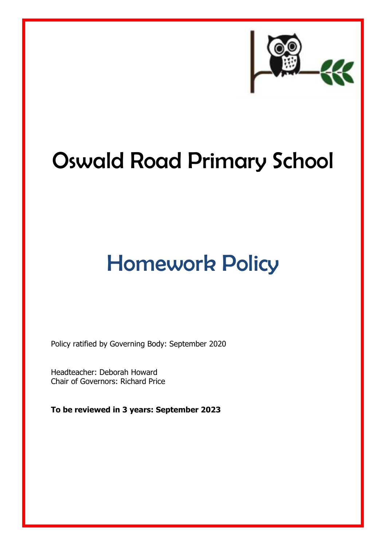

# Oswald Road Primary School

## Homework Policy

Policy ratified by Governing Body: September 2020

Headteacher: Deborah Howard Chair of Governors: Richard Price

**To be reviewed in 3 years: September 2023**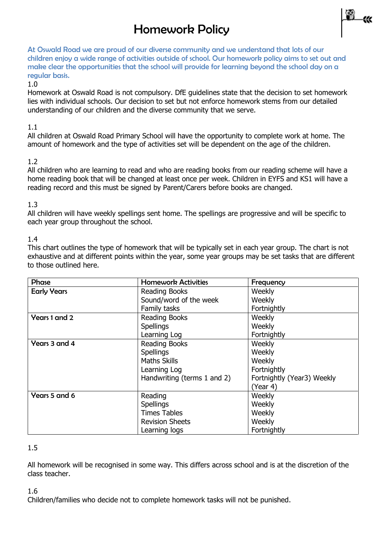### Homework Policy



At Oswald Road we are proud of our diverse community and we understand that lots of our children enjoy a wide range of activities outside of school. Our homework policy aims to set out and make clear the opportunities that the school will provide for learning beyond the school day on a regular basis.

#### 1.0

Homework at Oswald Road is not compulsory. DfE guidelines state that the decision to set homework lies with individual schools. Our decision to set but not enforce homework stems from our detailed understanding of our children and the diverse community that we serve.

#### 1.1

All children at Oswald Road Primary School will have the opportunity to complete work at home. The amount of homework and the type of activities set will be dependent on the age of the children.

#### 1.2

All children who are learning to read and who are reading books from our reading scheme will have a home reading book that will be changed at least once per week. Children in EYFS and KS1 will have a reading record and this must be signed by Parent/Carers before books are changed.

#### 1.3

All children will have weekly spellings sent home. The spellings are progressive and will be specific to each year group throughout the school.

#### 1.4

This chart outlines the type of homework that will be typically set in each year group. The chart is not exhaustive and at different points within the year, some year groups may be set tasks that are different to those outlined here.

| Phase              | <b>Homework Activities</b>  | Frequency                  |
|--------------------|-----------------------------|----------------------------|
| <b>Early Years</b> | <b>Reading Books</b>        | Weekly                     |
|                    | Sound/word of the week      | Weekly                     |
|                    | Family tasks                | Fortnightly                |
| Years 1 and 2      | Reading Books               | Weekly                     |
|                    | <b>Spellings</b>            | Weekly                     |
|                    | Learning Log                | Fortnightly                |
| Years 3 and 4      | <b>Reading Books</b>        | Weekly                     |
|                    | <b>Spellings</b>            | Weekly                     |
|                    | <b>Maths Skills</b>         | Weekly                     |
|                    | Learning Log                | Fortnightly                |
|                    | Handwriting (terms 1 and 2) | Fortnightly (Year3) Weekly |
|                    |                             | (Year 4)                   |
| Years 5 and 6      | Reading                     | Weekly                     |
|                    | Spellings                   | Weekly                     |
|                    | <b>Times Tables</b>         | Weekly                     |
|                    | <b>Revision Sheets</b>      | Weekly                     |
|                    | Learning logs               | Fortnightly                |

#### 1.5

All homework will be recognised in some way. This differs across school and is at the discretion of the class teacher.

1.6

Children/families who decide not to complete homework tasks will not be punished.